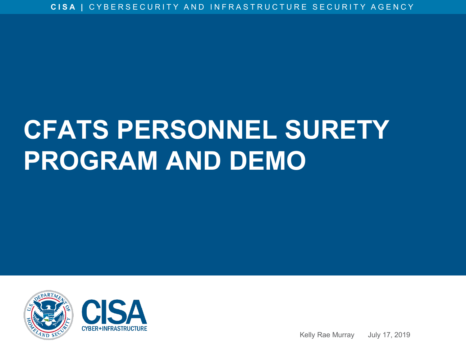## **CFATS PERSONNEL SURETY PROGRAM AND DEMO**





Kelly Rae Murray July 17, 2019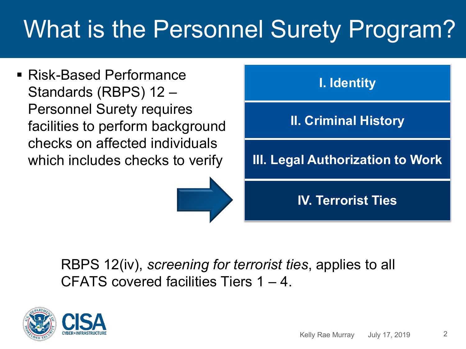#### What is the Personnel Surety Program?

■ Risk-Based Performance Standards (RBPS) 12 – Personnel Surety requires facilities to perform background checks on affected individuals which includes checks to verify



RBPS 12(iv), *screening for terrorist ties*, applies to all CFATS covered facilities Tiers 1 – 4.



2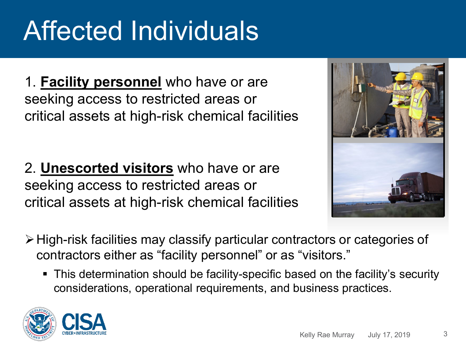## Affected Individuals

1. **Facility personnel** who have or are seeking access to restricted areas or critical assets at high-risk chemical facilities

2. **Unescorted visitors** who have or are seeking access to restricted areas or critical assets at high-risk chemical facilities



- High-risk facilities may classify particular contractors or categories of contractors either as "facility personnel" or as "visitors."
	- This determination should be facility-specific based on the facility's security considerations, operational requirements, and business practices.



3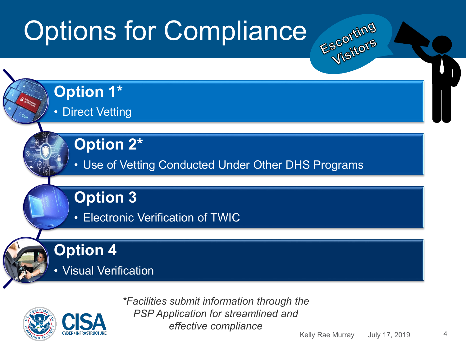# Options for Compliance





*\*Facilities submit information through the PSP Application for streamlined and effective compliance*

Kelly Rae Murray July 17, 2019

4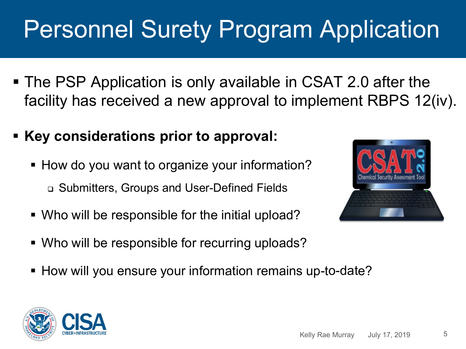## Personnel Surety Program Application

- The PSP Application is only available in CSAT 2.0 after the facility has received a new approval to implement RBPS 12(iv).
- **Key considerations prior to approval:**
	- How do you want to organize your information? Submitters, Groups and User-Defined Fields
	- Who will be responsible for the initial upload?
	- Who will be responsible for recurring uploads?
	- How will you ensure your information remains up-to-date?



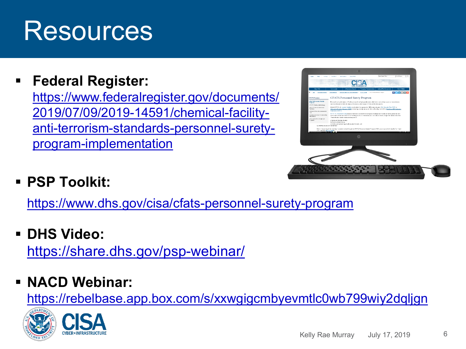### Resources

**Federal Register:**

[https://www.federalregister.gov/documents/](https://www.federalregister.gov/documents/2019/07/09/2019-14591/chemical-facility-anti-terrorism-standards-personnel-surety-program-implementation) 2019/07/09/2019-14591/chemical-facilityanti-terrorism-standards-personnel-suretyprogram-implementation

| to Focas.<br>Topic.<br><b>Now</b>        | $-0$<br><b>Houston</b><br><b>Got booksd</b><br>Also DIS                                                                                                                                                                                   | Citat Search Term                                                 | On DEG Jan<br>$\times$ 0.           |  |
|------------------------------------------|-------------------------------------------------------------------------------------------------------------------------------------------------------------------------------------------------------------------------------------------|-------------------------------------------------------------------|-------------------------------------|--|
|                                          |                                                                                                                                                                                                                                           | <b>CARD CARDS</b>                                                 |                                     |  |
| Alexa Citizk                             | <b>Información Sociéty</b><br><b>Odamorby</b>                                                                                                                                                                                             | <b>National Right Management</b><br><b>Exercise Consumination</b> | Novelli Mode                        |  |
|                                          | N - 150 - Statements in Constitute - Dental antibal manufaces - Distances - Citizens - Components of the                                                                                                                                  |                                                                   | $f \times \ln  \mathbf{z}  \cdot +$ |  |
| <b>CEATS Precess</b>                     | <b>CFATS Personnel Surety Program</b>                                                                                                                                                                                                     |                                                                   |                                     |  |
| GRATE POLONNIE Bandy<br>PERSON           | Personnel carety, the vesting of facility personnel and snecroted visions who have or are creding access to retricted away.                                                                                                               |                                                                   |                                     |  |
| CEATS Twins Methodsings                  | and central aways at last-calc chemical factures, as a key waves of chemical facture wearers.                                                                                                                                             |                                                                   |                                     |  |
| CFA IS Covered Chemical<br>First Bosa    | Under CEATS, all covered bratters must submit for approval to DLIS a security plan (Site Security Flan (SSP) or<br>Alternative Scoutix Pragram (ASP)) containing security incascing that sufficiently meet all the Risk-Based Performance |                                                                   |                                     |  |
| Chemical Security Assessment             | Standards (SUES).                                                                                                                                                                                                                         |                                                                   |                                     |  |
| 1016<br>Chemical-Jervelser Valuarability | 813/5 12-4 Suncerned Sicrety response basiders to second for four types of background checks on basidy personnel and                                                                                                                      |                                                                   |                                     |  |
| information                              | unescorted visitors who have or are seeking access to restricted areas and ofdcal-assets at high-risk chemical facilities.<br>These checks include measures designed to:                                                                  |                                                                   |                                     |  |
| сей то вкреатся Арреила<br>Program       | a Verly and values abray.                                                                                                                                                                                                                 |                                                                   |                                     |  |
|                                          | EL Check criminal history<br>a) thirdy and subduite logal authorization to work, and                                                                                                                                                      |                                                                   |                                     |  |
| by identify packin with terrorist tax.   |                                                                                                                                                                                                                                           |                                                                   |                                     |  |
| Two 2 business statute interests         | Partix-screening for terrorist Gos-is implemented through the OFAT9 Personnel Burety Program (PBP), and is concertly limited to Tier 1 and                                                                                                |                                                                   |                                     |  |
|                                          |                                                                                                                                                                                                                                           |                                                                   |                                     |  |
|                                          |                                                                                                                                                                                                                                           |                                                                   |                                     |  |
|                                          |                                                                                                                                                                                                                                           |                                                                   |                                     |  |
|                                          |                                                                                                                                                                                                                                           |                                                                   |                                     |  |
|                                          |                                                                                                                                                                                                                                           |                                                                   |                                     |  |
|                                          |                                                                                                                                                                                                                                           |                                                                   |                                     |  |
|                                          |                                                                                                                                                                                                                                           |                                                                   |                                     |  |
|                                          |                                                                                                                                                                                                                                           |                                                                   |                                     |  |
|                                          |                                                                                                                                                                                                                                           |                                                                   |                                     |  |
|                                          |                                                                                                                                                                                                                                           |                                                                   |                                     |  |
|                                          |                                                                                                                                                                                                                                           |                                                                   |                                     |  |
|                                          |                                                                                                                                                                                                                                           |                                                                   |                                     |  |
|                                          |                                                                                                                                                                                                                                           |                                                                   |                                     |  |
|                                          |                                                                                                                                                                                                                                           |                                                                   |                                     |  |
|                                          |                                                                                                                                                                                                                                           |                                                                   |                                     |  |

#### **PSP Toolkit:**

<https://www.dhs.gov/cisa/cfats-personnel-surety-program>

**DHS Video:**

<https://share.dhs.gov/psp-webinar/>

#### **NACD Webinar:**

<https://rebelbase.app.box.com/s/xxwgigcmbyevmtlc0wb799wiy2dqljgn>